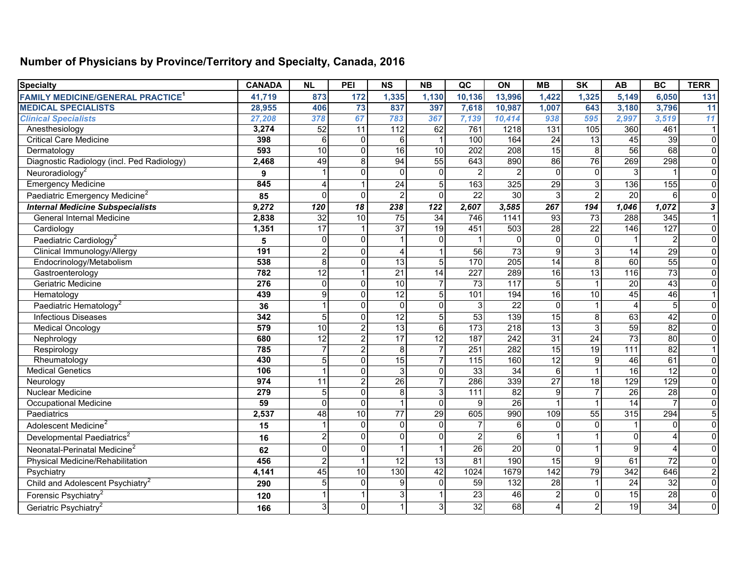## **Number of Physicians by Province/Territory and Specialty, Canada, 2016**

| <b>Specialty</b>                             | <b>CANADA</b> | N <sub>L</sub>  | PEI             | $\overline{\text{NS}}$ | $\overline{NB}$  | $\overline{ac}$   | $\overline{ON}$  | $\overline{\mathsf{MB}}$ | $\overline{\mathsf{SK}}$ | <b>AB</b>       | BC                      | <b>TERR</b>    |
|----------------------------------------------|---------------|-----------------|-----------------|------------------------|------------------|-------------------|------------------|--------------------------|--------------------------|-----------------|-------------------------|----------------|
| <b>FAMILY MEDICINE/GENERAL PRACTICE1</b>     | 41,719        | 873             | 172             | 1,335                  | 1,130            | 10,136            | 13,996           | 1,422                    | 1,325                    | 5,149           | 6,050                   | 131            |
| <b>MEDICAL SPECIALISTS</b>                   | 28,955        | 406             | 73              | 837                    | 397              | 7,618             | 10,987           | 1,007                    | 643                      | 3,180           | 3,796                   | 11             |
| <b>Clinical Specialists</b>                  | 27,208        | 378             | 67              | 783                    | 367              | 7,139             | 10,414           | 938                      | 595                      | 2,997           | 3,519                   | 11             |
| Anesthesiology                               | 3,274         | 52              | $\overline{11}$ | $\frac{11}{2}$         | 62               | 761               | 1218             | $\overline{131}$         | 105                      | 360             | 461                     | $\vert$ 1      |
| <b>Critical Care Medicine</b>                | 398           | 6               | $\mathbf{0}$    | 6                      |                  | 100               | 164              | $\overline{24}$          | 13                       | 45              | 39                      | $\overline{0}$ |
| Dermatology                                  | 593           | 10              | $\Omega$        | 16                     | 10               | 202               | 208              | $\overline{15}$          |                          | 56              | 68                      | $\overline{0}$ |
| Diagnostic Radiology (incl. Ped Radiology)   | 2,468         | 49              | 8               | $\overline{94}$        | $\overline{55}$  | 643               | 890              | 86                       | $\overline{76}$          | 269             | 298                     | $\overline{0}$ |
| Neuroradiology <sup>2</sup>                  | 9             |                 | $\Omega$        | 0                      | $\mathbf 0$      |                   |                  | $\mathbf 0$              | $\Omega$                 | 3               |                         | $\overline{0}$ |
| <b>Emergency Medicine</b>                    | 845           | $\Delta$        |                 | $\overline{24}$        | 5                | 163               | 325              | $\overline{29}$          |                          | 136             | 155                     | $\overline{0}$ |
| Paediatric Emergency Medicine <sup>2</sup>   | 85            | $\Omega$        | $\Omega$        | $\overline{2}$         | $\Omega$         | $\overline{22}$   | 30               | 3                        |                          | 20              | 6                       | $\overline{0}$ |
| <b>Internal Medicine Subspecialists</b>      | 9,272         | 120             | $\overline{18}$ | 238                    | $\overline{122}$ | 2,607             | 3,585            | 267                      | 194                      | 1,046           | 1,072                   | $\overline{3}$ |
| General Internal Medicine                    | 2,838         | $\overline{32}$ | $\overline{10}$ | $\overline{75}$        | $\overline{34}$  | 746               | 1141             | 93                       | $\overline{73}$          | 288             | $\frac{1}{345}$         | $\overline{1}$ |
| Cardiology                                   | 1,351         | 17              |                 | $\overline{37}$        | $\overline{19}$  | 451               | 503              | $\overline{28}$          | 22                       | 146             | 127                     | $\overline{0}$ |
| Paediatric Cardiology <sup>2</sup>           | 5             | $\Omega$        | $\Omega$        |                        | $\Omega$         |                   | $\Omega$         | $\Omega$                 | $\Omega$                 |                 | $\overline{2}$          | $\overline{0}$ |
| Clinical Immunology/Allergy                  | 191           | $\overline{2}$  | $\Omega$        | 4                      |                  | 56                | $\overline{73}$  | 9                        |                          | 14              | 29                      | $\overline{0}$ |
| Endocrinology/Metabolism                     | 538           | 8               | $\Omega$        | $\overline{13}$        | 5                | 170               | $\overline{205}$ | 14                       |                          | 60              | 55                      | $\overline{0}$ |
| Gastroenterology                             | 782           | 12              |                 | 21                     | 14               | 227               | 289              | 16                       | 13                       | 116             | $\overline{73}$         | $\overline{0}$ |
| <b>Geriatric Medicine</b>                    | 276           | $\Omega$        | $\Omega$        | 10                     |                  | $\overline{73}$   | 117              | $\overline{5}$           |                          | $\overline{20}$ | 43                      | $\overline{0}$ |
| Hematology                                   | 439           | 9               | $\Omega$        | 12                     | 5                | 101               | 194              | 16                       | 10                       | 45              | 46                      | $\vert$ 1      |
| Paediatric Hematology <sup>2</sup>           | 36            |                 | $\Omega$        | $\Omega$               | $\Omega$         |                   | $\overline{22}$  | $\mathbf 0$              |                          |                 | $\overline{5}$          | $\overline{0}$ |
| <b>Infectious Diseases</b>                   | 342           | 5               | $\Omega$        | $\overline{12}$        | 5                | 53                | 139              | 15                       |                          | 63              | 42                      | $\overline{0}$ |
| <b>Medical Oncology</b>                      | 579           | 10              | $\overline{2}$  | 13                     | 6                | 173               | $\overline{218}$ | 13                       |                          | 59              | $\overline{82}$         | $\overline{0}$ |
| Nephrology                                   | 680           | 12              | $\overline{2}$  | 17                     | $\overline{12}$  | 187               | 242              | 31                       | 24                       | 73              | 80                      | $\overline{0}$ |
| Respirology                                  | 785           |                 | $\overline{2}$  | 8                      |                  | 251               | 282              | 15                       | 19                       | 111             | 82                      | $\vert$ 1      |
| Rheumatology                                 | 430           | 5               | $\Omega$        | $\overline{15}$        |                  | 115               | 160              | 12                       | 9                        | 46              | 61                      | $\overline{0}$ |
| <b>Medical Genetics</b>                      | 106           |                 | $\Omega$        | 3                      | $\Omega$         | 33                | $\overline{34}$  | $\overline{6}$           |                          | 16              | $\overline{12}$         | $\overline{0}$ |
| Neurology                                    | 974           | 11              | $\overline{2}$  | $\overline{26}$        |                  | 286               | 339              | $\overline{27}$          | 18                       | 129             | 129                     | $\overline{0}$ |
| Nuclear Medicine                             | 279           | 5               | $\Omega$        | 8                      | 3                | $\frac{111}{111}$ | $\overline{82}$  | 9                        |                          | $\overline{26}$ | 28                      | $\overline{0}$ |
| <b>Occupational Medicine</b>                 | 59            | $\Omega$        | $\Omega$        | 1                      | $\Omega$         | $\mathbf{Q}$      | $\overline{26}$  |                          |                          | $\overline{14}$ | $\overline{7}$          | $\overline{0}$ |
| Paediatrics                                  | 2,537         | 48              | $\overline{10}$ | $\overline{77}$        | 29               | 605               | 990              | 109                      | $\overline{55}$          | 315             | 294                     | $\overline{5}$ |
| Adolescent Medicine <sup>2</sup>             | 15            |                 | $\Omega$        | $\Omega$               | $\Omega$         |                   | 6                | $\Omega$                 | $\Omega$                 | 1               | $\Omega$                | $\overline{0}$ |
| Developmental Paediatrics <sup>2</sup>       | 16            | $\overline{2}$  | $\Omega$        | $\Omega$               | $\Omega$         |                   | 6                |                          |                          | $\Omega$        | $\overline{\mathbf{4}}$ | $\overline{0}$ |
| Neonatal-Perinatal Medicine <sup>2</sup>     | 62            | $\Omega$        | $\Omega$        |                        |                  | 26                | 20               | $\Omega$                 |                          | 9               | $\overline{\mathbf{4}}$ | $\overline{0}$ |
| Physical Medicine/Rehabilitation             | 456           | $\overline{c}$  |                 | 12                     | $\overline{13}$  | $\overline{81}$   | 190              | $\overline{15}$          | $\mathbf{Q}$             | 61              | $\overline{72}$         | $\overline{0}$ |
| Psychiatry                                   | 4,141         | 45              | 10              | 130                    | 42               | 1024              | 1679             | 142                      | 79                       | 342             | 646                     | $\mathbf{2}$   |
| Child and Adolescent Psychiatry <sup>2</sup> | 290           | 5               | $\Omega$        | 9                      | $\mathbf 0$      | 59                | $\overline{132}$ | 28                       |                          | $\overline{24}$ | 32                      | $\overline{0}$ |
| Forensic Psychiatry <sup>2</sup>             | 120           |                 |                 | 3                      |                  | 23                | 46               | $\overline{2}$           | $\Omega$                 | 15              | 28                      | $\overline{0}$ |
| Geriatric Psychiatry <sup>2</sup>            | 166           | 3               | $\mathbf{0}$    |                        |                  | $\overline{32}$   | $\overline{68}$  |                          |                          | 19              | $\overline{34}$         | $\overline{0}$ |